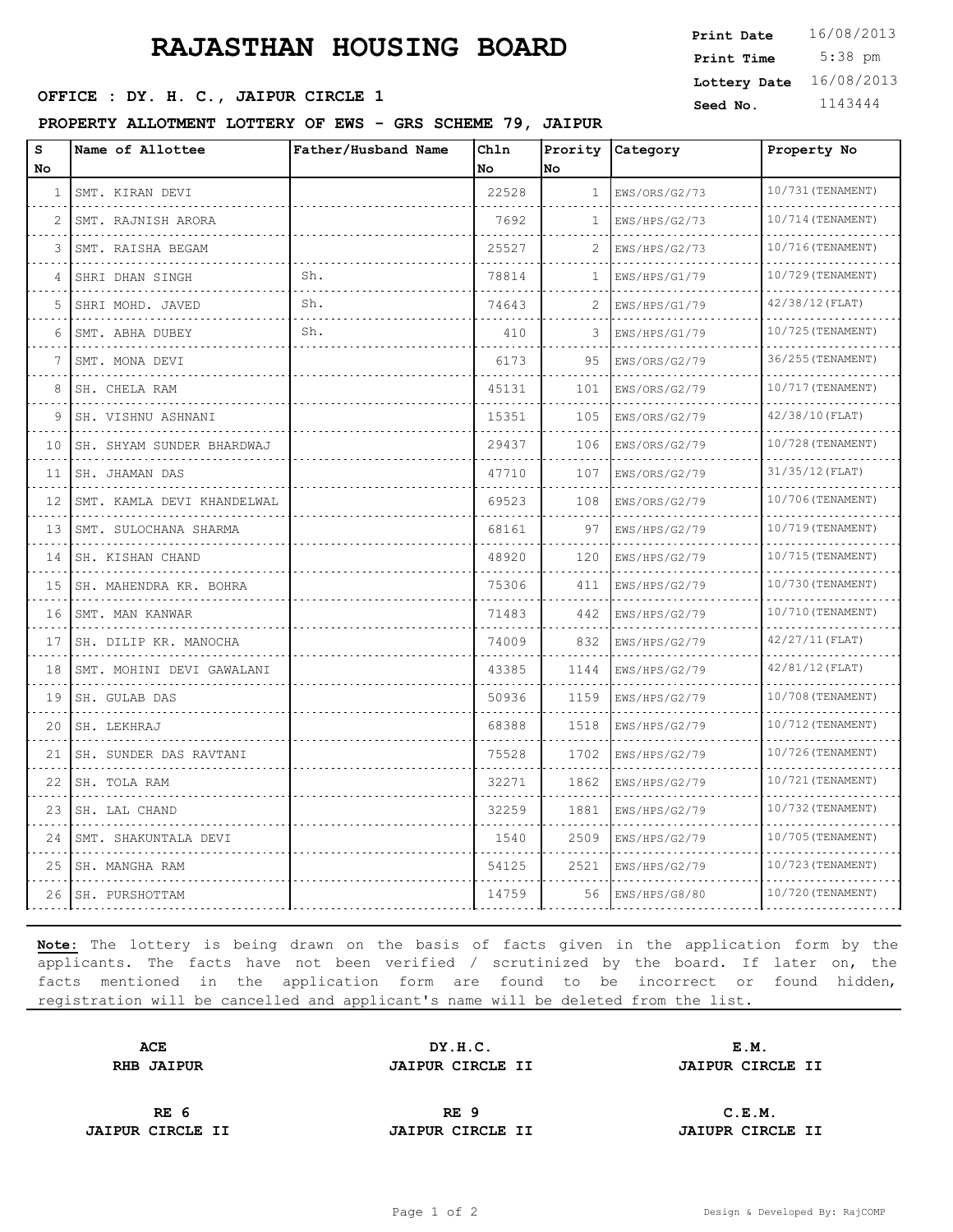# **RAJASTHAN HOUSING BOARD**

### **SEED OFFICE : DY. H. C., JAIPUR CIRCLE 1** Seed No. 1143444

### **PROPERTY ALLOTMENT LOTTERY OF EWS - GRS SCHEME 79, JAIPUR**

| Print Date   | 16/08/2013      |
|--------------|-----------------|
| Print Time   | $5:38$ pm       |
| Lottery Date | 16/08/2013      |
|              | 1110 <i>111</i> |

| S<br>No | Name of Allottee           | Father/Husband Name | Chln<br>No | Prority<br>No | Category           | Property No            |
|---------|----------------------------|---------------------|------------|---------------|--------------------|------------------------|
| 1       | SMT. KIRAN DEVI<br>.       |                     | 22528      | $\mathbf{1}$  | EWS/ORS/G2/73<br>. | 10/731 (TENAMENT)<br>. |
| 2       | SMT. RAJNISH ARORA         |                     | 7692       | 1             | EWS/HPS/G2/73      | 10/714 (TENAMENT)      |
| 3       | SMT. RAISHA BEGAM          |                     | 25527      | 2             | EWS/HPS/G2/73      | 10/716 (TENAMENT)      |
| 4       | SHRI DHAN SINGH            | Sh.                 | 78814      | $\mathbf{1}$  | EWS/HPS/G1/79      | 10/729 (TENAMENT)      |
| 5       | .<br>SHRI MOHD. JAVED      | Sh.                 | 74643      |               | .<br>EWS/HPS/G1/79 | $42/38/12$ (FLAT)      |
| 6       | SMT. ABHA DUBEY            | Sh.                 | 410        | 3             | EWS/HPS/G1/79      | 10/725 (TENAMENT)      |
| 7       | .<br>SMT. MONA DEVI        |                     | 6173       | 95            | EWS/ORS/G2/79      | 36/255 (TENAMENT)      |
| 8       | SH. CHELA RAM              |                     | 45131      | 101           | EWS/ORS/G2/79      | 10/717 (TENAMENT)      |
| 9       | SH. VISHNU ASHNANI         |                     | 15351      | 105           | EWS/ORS/G2/79      | 42/38/10(FLAT)         |
| 10      | SH. SHYAM SUNDER BHARDWAJ  |                     | 29437      | 106           | EWS/ORS/G2/79      | 10/728 (TENAMENT)      |
| 11      | SH. JHAMAN DAS             |                     | 47710      | 107           | EWS/ORS/G2/79      | $31/35/12$ (FLAT)      |
| 12      | SMT. KAMLA DEVI KHANDELWAL |                     | 69523      | 108           | EWS/ORS/G2/79      | 10/706(TENAMENT)       |
| 13      | SMT. SULOCHANA SHARMA      |                     | 68161      | 97            | EWS/HPS/G2/79      | 10/719 (TENAMENT)      |
| 14      | SH. KISHAN CHAND<br>.      |                     | 48920      | 120           | EWS/HPS/G2/79      | 10/715 (TENAMENT)      |
| 15      | SH. MAHENDRA KR. BOHRA     |                     | 75306      | 411           | EWS/HPS/G2/79      | 10/730 (TENAMENT)      |
| 16      | SMT. MAN KANWAR            |                     | 71483      | 442           | EWS/HPS/G2/79      | 10/710 (TENAMENT)      |
| 17      | SH. DILIP KR. MANOCHA      |                     | 74009      | 832           | EWS/HPS/G2/79      | $42/27/11$ (FLAT)      |
| 18      | SMT. MOHINI DEVI GAWALANI  |                     | 43385      | 1144          | EWS/HPS/G2/79      | $42/81/12$ (FLAT)      |
| 19      | SH. GULAB DAS              |                     | 50936      | 1159          | EWS/HPS/G2/79      | $10/708$ (TENAMENT)    |
| 20      | SH. LEKHRAJ                |                     | 68388      | 1518          | EWS/HPS/G2/79      | 10/712 (TENAMENT)      |
| 21      | SH. SUNDER DAS RAVTANI     |                     | 75528      | 1702          | EWS/HPS/G2/79      | 10/726 (TENAMENT)      |
| 22      | SH. TOLA RAM               |                     | 32271      | 1862          | EWS/HPS/G2/79      | 10/721 (TENAMENT)      |
| 23      | SH. LAL CHAND              |                     | 32259      | 1881          | EWS/HPS/G2/79      | 10/732 (TENAMENT)      |
| 24      | SMT. SHAKUNTALA DEVI       |                     | 1540       | 2509          | EWS/HPS/G2/79      | 10/705 (TENAMENT)      |
| 25      | SH. MANGHA RAM             |                     | 54125      | 2521          | EWS/HPS/G2/79      | 10/723 (TENAMENT)      |
| 26      | SH. PURSHOTTAM             |                     | 14759      | 56            | EWS/HPS/G8/80      | 10/720 (TENAMENT)      |
|         |                            |                     |            |               |                    |                        |

**Note:** The lottery is being drawn on the basis of facts given in the application form by the applicants. The facts have not been verified / scrutinized by the board. If later on, the facts mentioned in the application form are found to be incorrect or found hidden, registration will be cancelled and applicant's name will be deleted from the list.

| <b>ACE</b>        | DY.H.C.                 | E.M.                    |  |
|-------------------|-------------------------|-------------------------|--|
| <b>RHB JAIPUR</b> | <b>JAIPUR CIRCLE II</b> | <b>JAIPUR CIRCLE II</b> |  |
|                   |                         |                         |  |
|                   |                         |                         |  |

**JAIPUR CIRCLE II JAIPUR CIRCLE II JAIUPR CIRCLE II**

**RE 6 RE 9 C.E.M.**